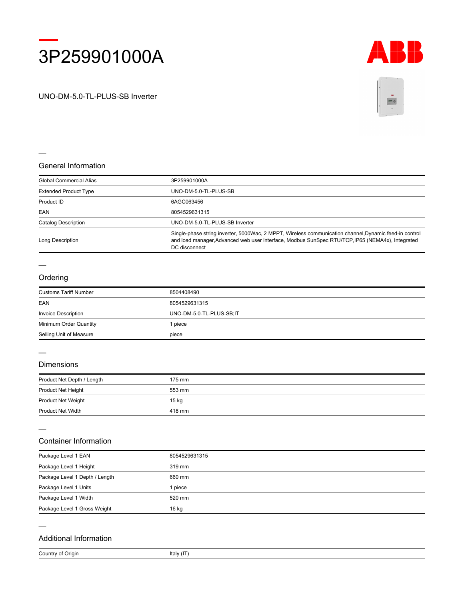



UNO-DM-5.0-TL-PLUS-SB Inverter



### **General Information**

| Global Commercial Alias      | 3P259901000A                                                                                                                                                                                                                |
|------------------------------|-----------------------------------------------------------------------------------------------------------------------------------------------------------------------------------------------------------------------------|
| <b>Extended Product Type</b> | UNO-DM-5.0-TL-PLUS-SB                                                                                                                                                                                                       |
| Product ID                   | 6AGC063456                                                                                                                                                                                                                  |
| EAN                          | 8054529631315                                                                                                                                                                                                               |
| Catalog Description          | UNO-DM-5.0-TL-PLUS-SB Inverter                                                                                                                                                                                              |
| Long Description             | Single-phase string inverter, 5000Wac, 2 MPPT, Wireless communication channel, Dynamic feed-in control<br>and load manager, Advanced web user interface, Modbus SunSpec RTU/TCP, IP65 (NEMA4x), Integrated<br>DC disconnect |

# **Ordering**

| <b>Customs Tariff Number</b> | 8504408490               |
|------------------------------|--------------------------|
| EAN                          | 8054529631315            |
| <b>Invoice Description</b>   | UNO-DM-5.0-TL-PLUS-SB;IT |
| Minimum Order Quantity       | l piece                  |
| Selling Unit of Measure      | piece                    |

# **Dimensions**

| Product Net Depth / Length | 175 mm |  |
|----------------------------|--------|--|
| Product Net Height         | 553 mm |  |
| <b>Product Net Weight</b>  | 15 kg  |  |
| <b>Product Net Width</b>   | 418 mm |  |

## **Container Information**

| Package Level 1 EAN            | 8054529631315 |
|--------------------------------|---------------|
| Package Level 1 Height         | 319 mm        |
| Package Level 1 Depth / Length | 660 mm        |
| Package Level 1 Units          | l piece       |
| Package Level 1 Width          | 520 mm        |
| Package Level 1 Gross Weight   | 16 kg         |

#### **Additional Information**